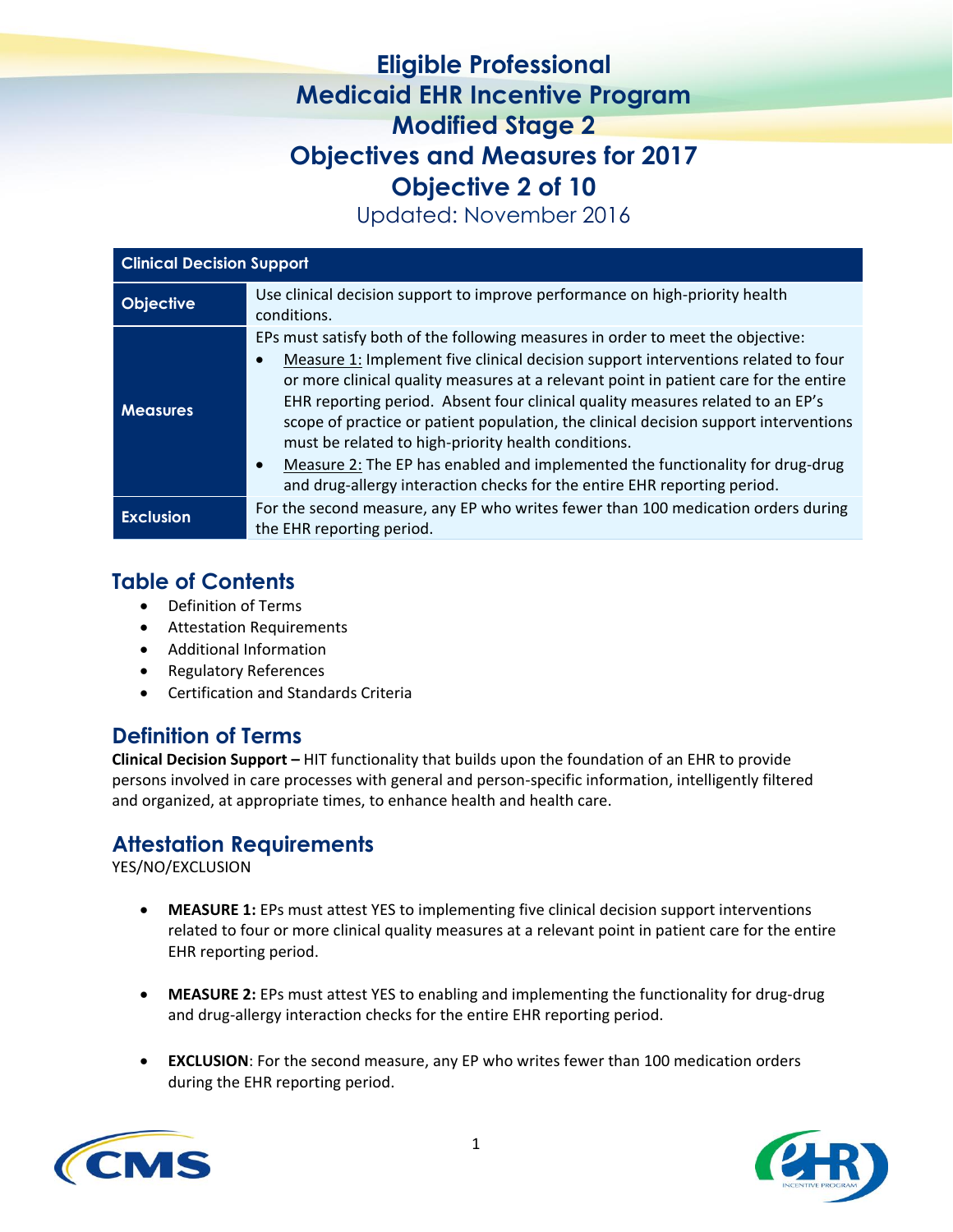# **Eligible Professional Medicaid EHR Incentive Program Modified Stage 2 Objectives and Measures for 2017 Objective 2 of 10**

Updated: November 2016

| <b>Clinical Decision Support</b> |                                                                                                                                                                                                                                                                                                                                                                                                                                                                                                                                                                                                                                                                                      |  |
|----------------------------------|--------------------------------------------------------------------------------------------------------------------------------------------------------------------------------------------------------------------------------------------------------------------------------------------------------------------------------------------------------------------------------------------------------------------------------------------------------------------------------------------------------------------------------------------------------------------------------------------------------------------------------------------------------------------------------------|--|
| <b>Objective</b>                 | Use clinical decision support to improve performance on high-priority health<br>conditions.                                                                                                                                                                                                                                                                                                                                                                                                                                                                                                                                                                                          |  |
| <b>Measures</b>                  | EPs must satisfy both of the following measures in order to meet the objective:<br>Measure 1: Implement five clinical decision support interventions related to four<br>$\bullet$<br>or more clinical quality measures at a relevant point in patient care for the entire<br>EHR reporting period. Absent four clinical quality measures related to an EP's<br>scope of practice or patient population, the clinical decision support interventions<br>must be related to high-priority health conditions.<br>Measure 2: The EP has enabled and implemented the functionality for drug-drug<br>$\bullet$<br>and drug-allergy interaction checks for the entire EHR reporting period. |  |
| <b>Exclusion</b>                 | For the second measure, any EP who writes fewer than 100 medication orders during<br>the EHR reporting period.                                                                                                                                                                                                                                                                                                                                                                                                                                                                                                                                                                       |  |

## **Table of Contents**

- Definition of Terms
- Attestation Requirements
- Additional Information
- Regulatory References
- Certification and Standards Criteria

## **Definition of Terms**

**Clinical Decision Support –** HIT functionality that builds upon the foundation of an EHR to provide persons involved in care processes with general and person-specific information, intelligently filtered and organized, at appropriate times, to enhance health and health care.

## **Attestation Requirements**

YES/NO/EXCLUSION

- **MEASURE 1:** EPs must attest YES to implementing five clinical decision support interventions related to four or more clinical quality measures at a relevant point in patient care for the entire EHR reporting period.
- **MEASURE 2:** EPs must attest YES to enabling and implementing the functionality for drug-drug and drug-allergy interaction checks for the entire EHR reporting period.
- **EXCLUSION**: For the second measure, any EP who writes fewer than 100 medication orders during the EHR reporting period.



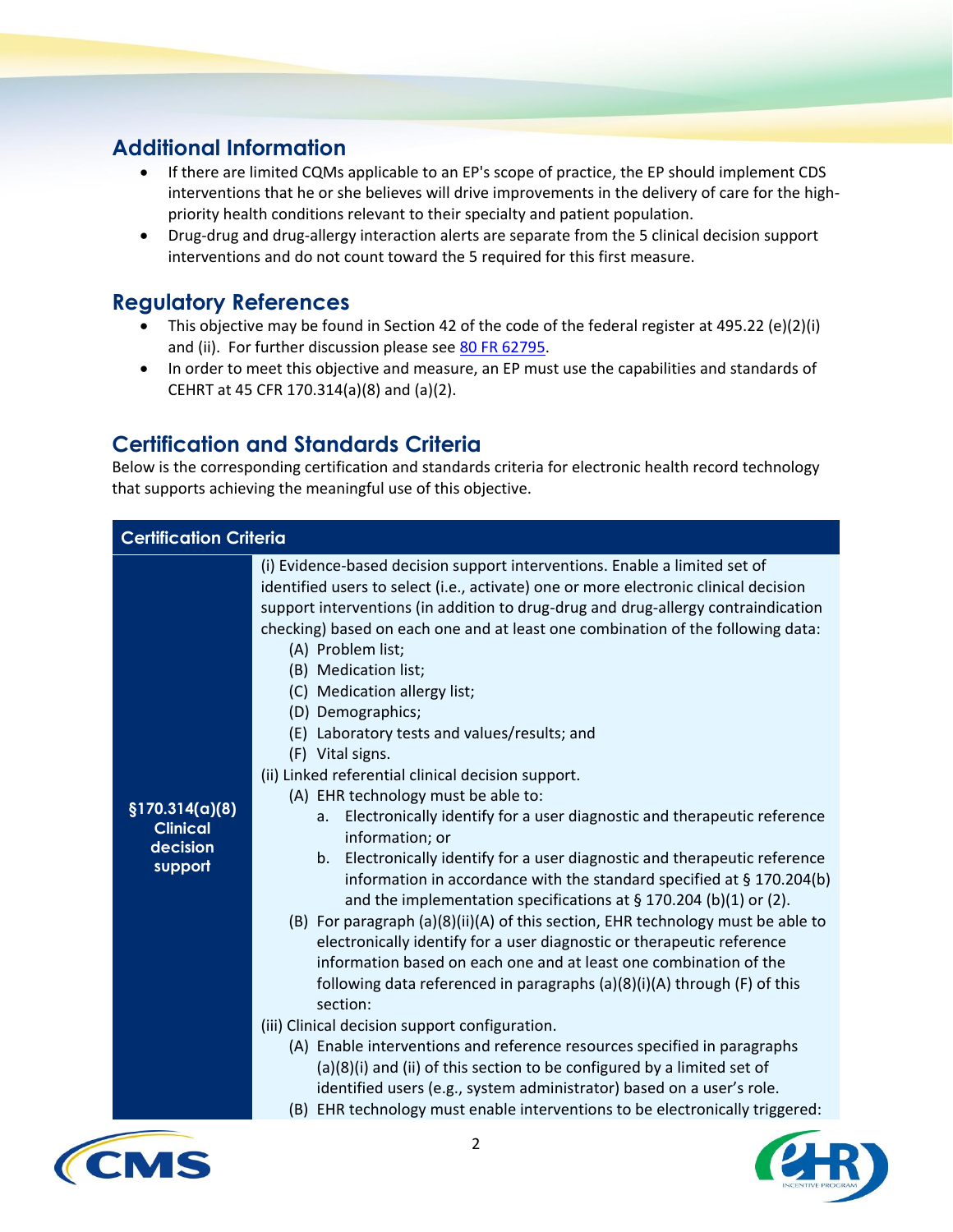## **Additional Information**

- If there are limited CQMs applicable to an EP's scope of practice, the EP should implement CDS interventions that he or she believes will drive improvements in the delivery of care for the highpriority health conditions relevant to their specialty and patient population.
- Drug-drug and drug-allergy interaction alerts are separate from the 5 clinical decision support interventions and do not count toward the 5 required for this first measure.

#### **Regulatory References**

- This objective may be found in Section 42 of the code of the federal register at 495.22 (e)(2)(i) and (ii). For further discussion please see [80 FR 62795.](https://www.federalregister.gov/articles/2015/10/16/2015-25595/medicare-and-medicaid-programs-electronic-health-record-incentive-program-stage-3-and-modifications#h-64)
- In order to meet this objective and measure, an EP must use the capabilities and standards of CEHRT at 45 CFR 170.314(a)(8) and (a)(2).

## **Certification and Standards Criteria**

Below is the corresponding certification and standards criteria for electronic health record technology that supports achieving the meaningful use of this objective.

| <b>Certification Criteria</b>                             |                                                                                                                                                                                                                                                                                                                                                                                                                                                                                                                                                                                                                                                                                                                                                                                                                                                                                                                                                                                                                                                                                                                                                                                                                                                                                                                                                                                                                                                                                                                                                                                                                                                 |  |
|-----------------------------------------------------------|-------------------------------------------------------------------------------------------------------------------------------------------------------------------------------------------------------------------------------------------------------------------------------------------------------------------------------------------------------------------------------------------------------------------------------------------------------------------------------------------------------------------------------------------------------------------------------------------------------------------------------------------------------------------------------------------------------------------------------------------------------------------------------------------------------------------------------------------------------------------------------------------------------------------------------------------------------------------------------------------------------------------------------------------------------------------------------------------------------------------------------------------------------------------------------------------------------------------------------------------------------------------------------------------------------------------------------------------------------------------------------------------------------------------------------------------------------------------------------------------------------------------------------------------------------------------------------------------------------------------------------------------------|--|
| \$170.314(a)(8)<br><b>Clinical</b><br>decision<br>support | (i) Evidence-based decision support interventions. Enable a limited set of<br>identified users to select (i.e., activate) one or more electronic clinical decision<br>support interventions (in addition to drug-drug and drug-allergy contraindication<br>checking) based on each one and at least one combination of the following data:<br>(A) Problem list;<br>(B) Medication list;<br>(C) Medication allergy list;<br>(D) Demographics;<br>(E) Laboratory tests and values/results; and<br>(F) Vital signs.<br>(ii) Linked referential clinical decision support.<br>(A) EHR technology must be able to:<br>Electronically identify for a user diagnostic and therapeutic reference<br>а.<br>information; or<br>Electronically identify for a user diagnostic and therapeutic reference<br>b.<br>information in accordance with the standard specified at § 170.204(b)<br>and the implementation specifications at $\S 170.204$ (b)(1) or (2).<br>(B) For paragraph (a)(8)(ii)(A) of this section, EHR technology must be able to<br>electronically identify for a user diagnostic or therapeutic reference<br>information based on each one and at least one combination of the<br>following data referenced in paragraphs (a)(8)(i)(A) through (F) of this<br>section:<br>(iii) Clinical decision support configuration.<br>(A) Enable interventions and reference resources specified in paragraphs<br>(a)(8)(i) and (ii) of this section to be configured by a limited set of<br>identified users (e.g., system administrator) based on a user's role.<br>(B) EHR technology must enable interventions to be electronically triggered: |  |

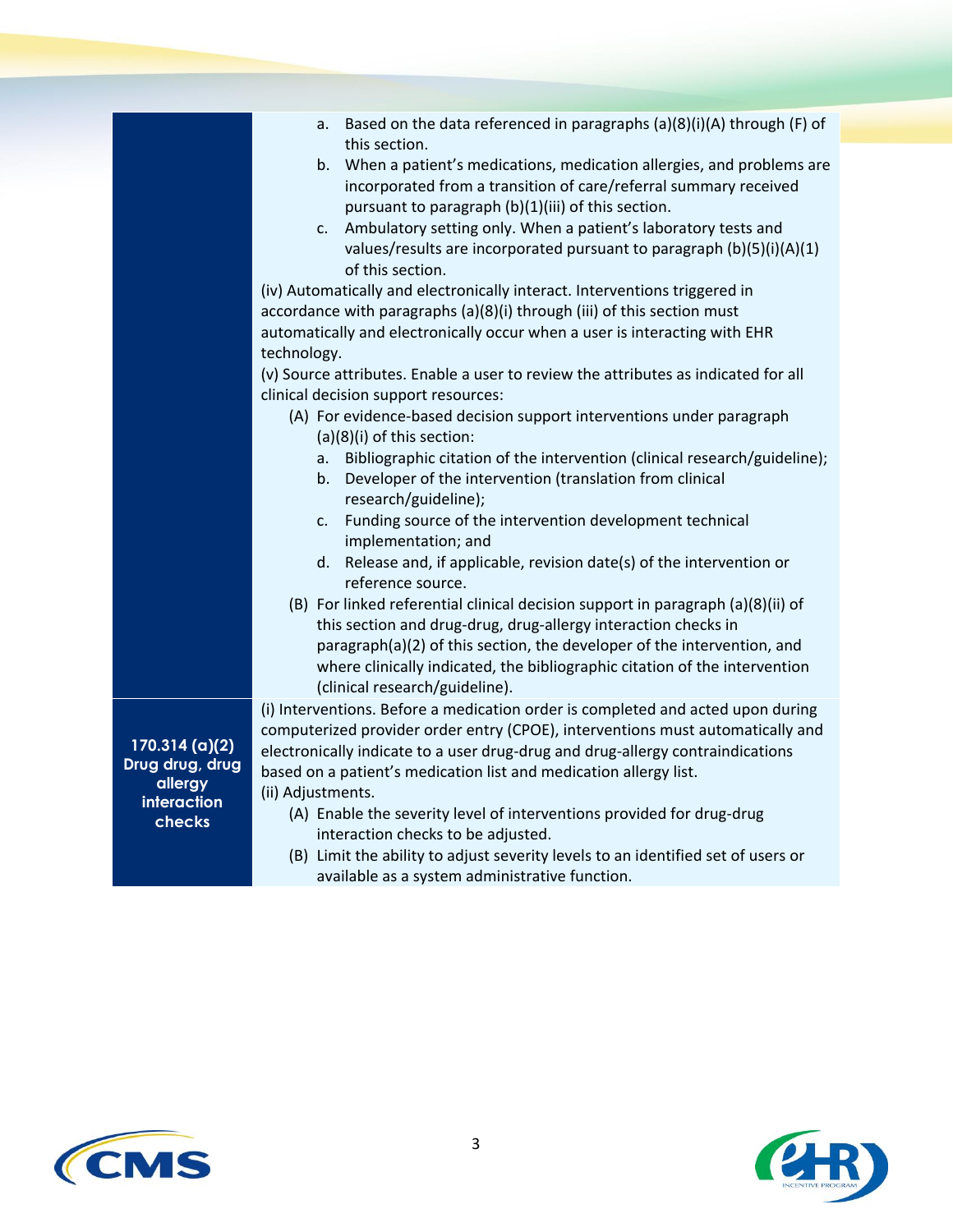|                                                                                         | Based on the data referenced in paragraphs (a)(8)(i)(A) through (F) of<br>а.<br>this section.<br>b. When a patient's medications, medication allergies, and problems are<br>incorporated from a transition of care/referral summary received<br>pursuant to paragraph (b)(1)(iii) of this section.<br>Ambulatory setting only. When a patient's laboratory tests and<br>$\mathsf{C}$ .<br>values/results are incorporated pursuant to paragraph $(b)(5)(i)(A)(1)$<br>of this section.<br>(iv) Automatically and electronically interact. Interventions triggered in<br>accordance with paragraphs (a)(8)(i) through (iii) of this section must<br>automatically and electronically occur when a user is interacting with EHR<br>technology.<br>(v) Source attributes. Enable a user to review the attributes as indicated for all |
|-----------------------------------------------------------------------------------------|-----------------------------------------------------------------------------------------------------------------------------------------------------------------------------------------------------------------------------------------------------------------------------------------------------------------------------------------------------------------------------------------------------------------------------------------------------------------------------------------------------------------------------------------------------------------------------------------------------------------------------------------------------------------------------------------------------------------------------------------------------------------------------------------------------------------------------------|
|                                                                                         | clinical decision support resources:<br>(A) For evidence-based decision support interventions under paragraph<br>(a)(8)(i) of this section:<br>a. Bibliographic citation of the intervention (clinical research/guideline);<br>b. Developer of the intervention (translation from clinical<br>research/guideline);<br>Funding source of the intervention development technical<br>c.<br>implementation; and<br>Release and, if applicable, revision date(s) of the intervention or<br>d.<br>reference source.<br>(B) For linked referential clinical decision support in paragraph (a)(8)(ii) of                                                                                                                                                                                                                                  |
|                                                                                         | this section and drug-drug, drug-allergy interaction checks in<br>paragraph(a)(2) of this section, the developer of the intervention, and<br>where clinically indicated, the bibliographic citation of the intervention<br>(clinical research/guideline).                                                                                                                                                                                                                                                                                                                                                                                                                                                                                                                                                                         |
| 170.314 <sub>(a)(2)</sub><br>Drug drug, drug<br>allergy<br><b>interaction</b><br>checks | (i) Interventions. Before a medication order is completed and acted upon during<br>computerized provider order entry (CPOE), interventions must automatically and<br>electronically indicate to a user drug-drug and drug-allergy contraindications<br>based on a patient's medication list and medication allergy list.<br>(ii) Adjustments.<br>(A) Enable the severity level of interventions provided for drug-drug<br>interaction checks to be adjusted.                                                                                                                                                                                                                                                                                                                                                                      |
|                                                                                         | (B) Limit the ability to adjust severity levels to an identified set of users or                                                                                                                                                                                                                                                                                                                                                                                                                                                                                                                                                                                                                                                                                                                                                  |